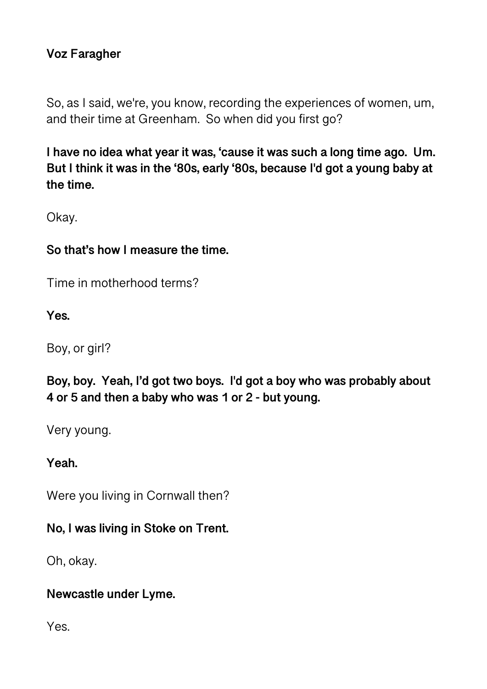## **Voz Faragher**

So, as I said, we're, you know, recording the experiences of women, um, and their time at Greenham. So when did you first go?

**I have no idea what year it was, 'cause it was such a long time ago. Um. But I think it was in the '80s, early '80s, because I'd got a young baby at the time.** 

Okay.

#### **So that's how I measure the time.**

Time in motherhood terms?

**Yes.** 

Boy, or girl?

**Boy, boy. Yeah, I'd got two boys. I'd got a boy who was probably about 4 or 5 and then a baby who was 1 or 2 - but young.** 

Very young.

#### **Yeah.**

Were you living in Cornwall then?

#### **No, I was living in Stoke on Trent.**

Oh, okay.

#### **Newcastle under Lyme.**

Yes.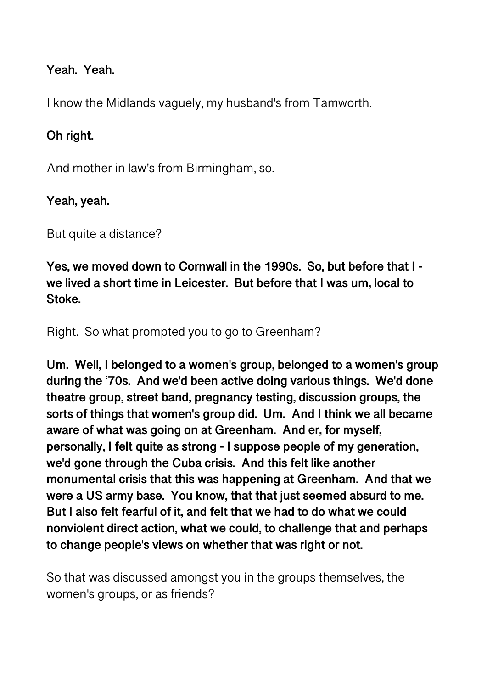#### **Yeah. Yeah.**

I know the Midlands vaguely, my husband's from Tamworth.

## **Oh right.**

And mother in law's from Birmingham, so.

#### **Yeah, yeah.**

But quite a distance?

**Yes, we moved down to Cornwall in the 1990s. So, but before that I we lived a short time in Leicester. But before that I was um, local to Stoke.** 

Right. So what prompted you to go to Greenham?

**Um. Well, I belonged to a women's group, belonged to a women's group during the '70s. And we'd been active doing various things. We'd done theatre group, street band, pregnancy testing, discussion groups, the sorts of things that women's group did. Um. And I think we all became aware of what was going on at Greenham. And er, for myself, personally, I felt quite as strong - I suppose people of my generation, we'd gone through the Cuba crisis. And this felt like another monumental crisis that this was happening at Greenham. And that we were a US army base. You know, that that just seemed absurd to me. But I also felt fearful of it, and felt that we had to do what we could nonviolent direct action, what we could, to challenge that and perhaps to change people's views on whether that was right or not.** 

So that was discussed amongst you in the groups themselves, the women's groups, or as friends?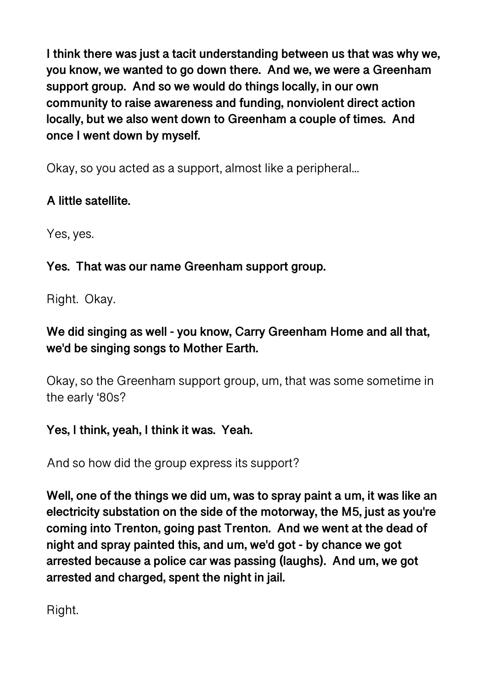**I think there was just a tacit understanding between us that was why we, you know, we wanted to go down there. And we, we were a Greenham support group. And so we would do things locally, in our own community to raise awareness and funding, nonviolent direct action locally, but we also went down to Greenham a couple of times. And once I went down by myself.** 

Okay, so you acted as a support, almost like a peripheral...

## **A little satellite.**

Yes, yes.

# **Yes. That was our name Greenham support group.**

Right. Okay.

# **We did singing as well - you know, Carry Greenham Home and all that, we'd be singing songs to Mother Earth.**

Okay, so the Greenham support group, um, that was some sometime in the early '80s?

# **Yes, I think, yeah, I think it was. Yeah.**

And so how did the group express its support?

**Well, one of the things we did um, was to spray paint a um, it was like an electricity substation on the side of the motorway, the M5, just as you're coming into Trenton, going past Trenton. And we went at the dead of night and spray painted this, and um, we'd got - by chance we got arrested because a police car was passing (laughs). And um, we got arrested and charged, spent the night in jail.** 

Right.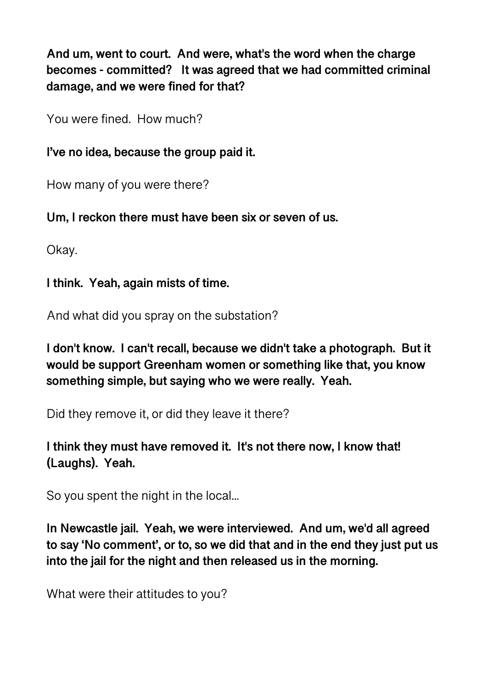**And um, went to court. And were, what's the word when the charge becomes - committed? It was agreed that we had committed criminal damage, and we were fined for that?** 

You were fined. How much?

**I've no idea, because the group paid it.** 

How many of you were there?

**Um, I reckon there must have been six or seven of us.** 

Okay.

**I think. Yeah, again mists of time.** 

And what did you spray on the substation?

**I don't know. I can't recall, because we didn't take a photograph. But it would be support Greenham women or something like that, you know something simple, but saying who we were really. Yeah.** 

Did they remove it, or did they leave it there?

**I think they must have removed it. It's not there now, I know that! (Laughs). Yeah.** 

So you spent the night in the local...

**In Newcastle jail. Yeah, we were interviewed. And um, we'd all agreed to say 'No comment', or to, so we did that and in the end they just put us into the jail for the night and then released us in the morning.** 

What were their attitudes to you?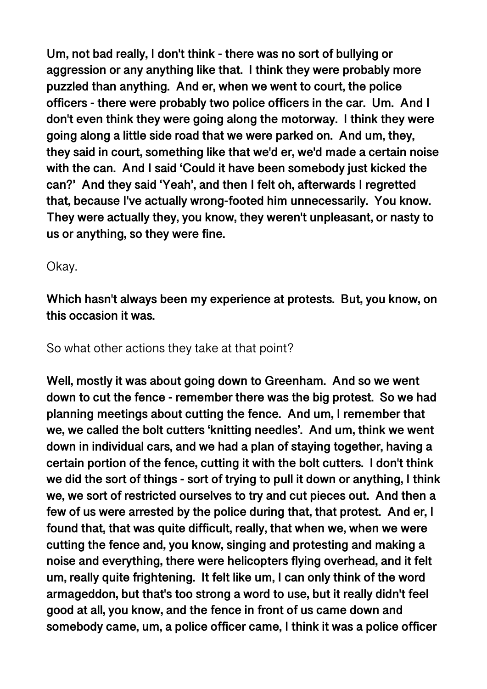**Um, not bad really, I don't think - there was no sort of bullying or aggression or any anything like that. I think they were probably more puzzled than anything. And er, when we went to court, the police officers - there were probably two police officers in the car. Um. And I don't even think they were going along the motorway. I think they were going along a little side road that we were parked on. And um, they, they said in court, something like that we'd er, we'd made a certain noise with the can. And I said 'Could it have been somebody just kicked the can?' And they said 'Yeah', and then I felt oh, afterwards I regretted that, because I've actually wrong-footed him unnecessarily. You know. They were actually they, you know, they weren't unpleasant, or nasty to us or anything, so they were fine.** 

#### Okay.

**Which hasn't always been my experience at protests. But, you know, on this occasion it was.** 

So what other actions they take at that point?

**Well, mostly it was about going down to Greenham. And so we went down to cut the fence - remember there was the big protest. So we had planning meetings about cutting the fence. And um, I remember that we, we called the bolt cutters 'knitting needles'. And um, think we went down in individual cars, and we had a plan of staying together, having a certain portion of the fence, cutting it with the bolt cutters. I don't think we did the sort of things - sort of trying to pull it down or anything, I think we, we sort of restricted ourselves to try and cut pieces out. And then a few of us were arrested by the police during that, that protest. And er, I found that, that was quite difficult, really, that when we, when we were cutting the fence and, you know, singing and protesting and making a noise and everything, there were helicopters flying overhead, and it felt um, really quite frightening. It felt like um, I can only think of the word armageddon, but that's too strong a word to use, but it really didn't feel good at all, you know, and the fence in front of us came down and somebody came, um, a police officer came, I think it was a police officer**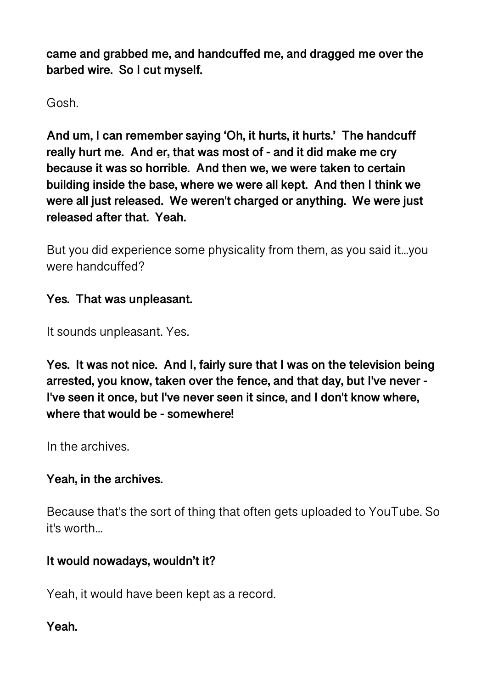**came and grabbed me, and handcuffed me, and dragged me over the barbed wire. So I cut myself.** 

Gosh.

**And um, I can remember saying 'Oh, it hurts, it hurts.' The handcuff really hurt me. And er, that was most of - and it did make me cry because it was so horrible. And then we, we were taken to certain building inside the base, where we were all kept. And then I think we were all just released. We weren't charged or anything. We were just released after that. Yeah.** 

But you did experience some physicality from them, as you said it...you were handcuffed?

## **Yes. That was unpleasant.**

It sounds unpleasant. Yes.

**Yes. It was not nice. And I, fairly sure that I was on the television being arrested, you know, taken over the fence, and that day, but I've never - I've seen it once, but I've never seen it since, and I don't know where, where that would be - somewhere!** 

In the archives.

## **Yeah, in the archives.**

Because that's the sort of thing that often gets uploaded to YouTube. So it's worth...

## **It would nowadays, wouldn't it?**

Yeah, it would have been kept as a record.

## **Yeah.**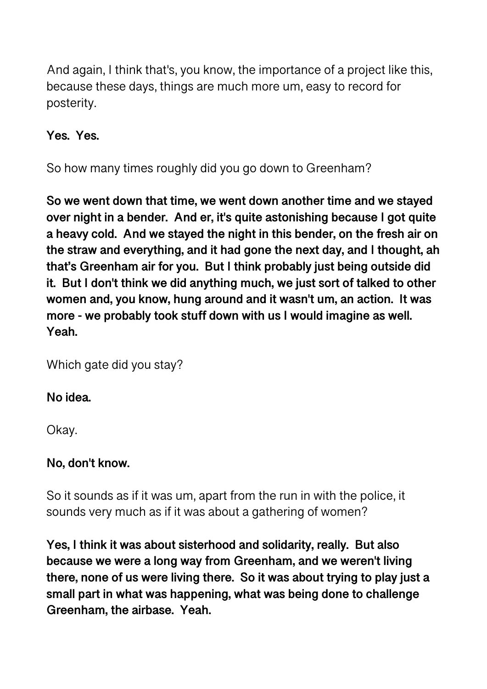And again, I think that's, you know, the importance of a project like this, because these days, things are much more um, easy to record for posterity.

**Yes. Yes.** 

So how many times roughly did you go down to Greenham?

**So we went down that time, we went down another time and we stayed over night in a bender. And er, it's quite astonishing because I got quite a heavy cold. And we stayed the night in this bender, on the fresh air on the straw and everything, and it had gone the next day, and I thought, ah that's Greenham air for you. But I think probably just being outside did it. But I don't think we did anything much, we just sort of talked to other women and, you know, hung around and it wasn't um, an action. It was more - we probably took stuff down with us I would imagine as well. Yeah.** 

Which gate did you stay?

## **No idea.**

Okay.

## **No, don't know.**

So it sounds as if it was um, apart from the run in with the police, it sounds very much as if it was about a gathering of women?

**Yes, I think it was about sisterhood and solidarity, really. But also because we were a long way from Greenham, and we weren't living there, none of us were living there. So it was about trying to play just a small part in what was happening, what was being done to challenge Greenham, the airbase. Yeah.**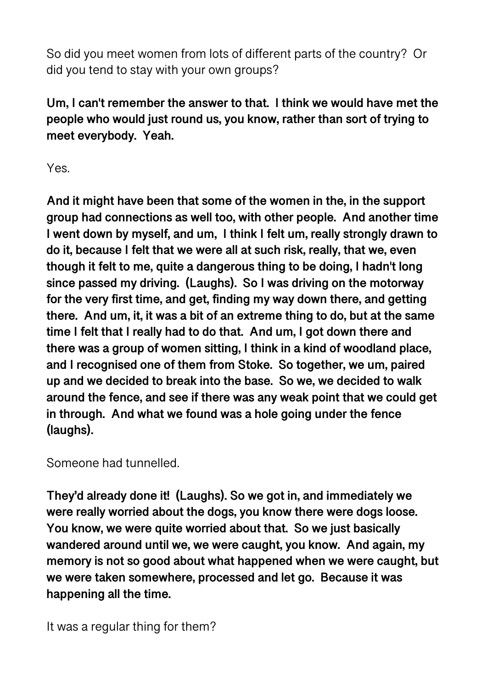So did you meet women from lots of different parts of the country? Or did you tend to stay with your own groups?

**Um, I can't remember the answer to that. I think we would have met the people who would just round us, you know, rather than sort of trying to meet everybody. Yeah.** 

Yes.

**And it might have been that some of the women in the, in the support group had connections as well too, with other people. And another time I went down by myself, and um, I think I felt um, really strongly drawn to do it, because I felt that we were all at such risk, really, that we, even though it felt to me, quite a dangerous thing to be doing, I hadn't long since passed my driving. (Laughs). So I was driving on the motorway for the very first time, and get, finding my way down there, and getting there. And um, it, it was a bit of an extreme thing to do, but at the same time I felt that I really had to do that. And um, I got down there and there was a group of women sitting, I think in a kind of woodland place, and I recognised one of them from Stoke. So together, we um, paired up and we decided to break into the base. So we, we decided to walk around the fence, and see if there was any weak point that we could get in through. And what we found was a hole going under the fence (laughs).** 

Someone had tunnelled.

**They'd already done it! (Laughs). So we got in, and immediately we were really worried about the dogs, you know there were dogs loose. You know, we were quite worried about that. So we just basically wandered around until we, we were caught, you know. And again, my memory is not so good about what happened when we were caught, but we were taken somewhere, processed and let go. Because it was happening all the time.** 

It was a regular thing for them?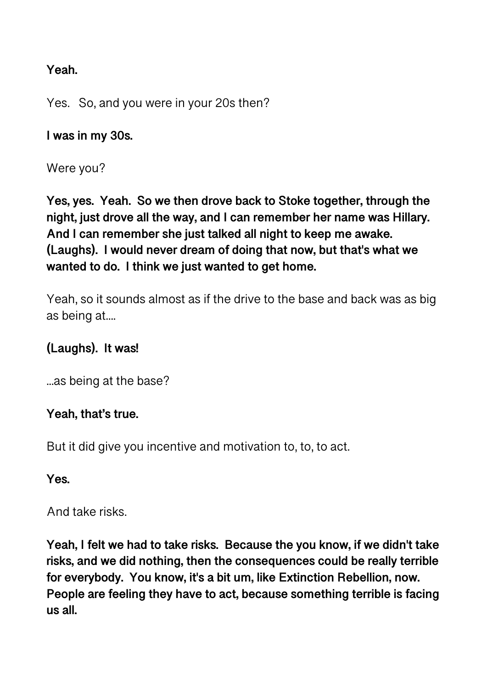#### **Yeah.**

Yes. So, and you were in your 20s then?

**I was in my 30s.** 

Were you?

**Yes, yes. Yeah. So we then drove back to Stoke together, through the night, just drove all the way, and I can remember her name was Hillary. And I can remember she just talked all night to keep me awake. (Laughs). I would never dream of doing that now, but that's what we wanted to do. I think we just wanted to get home.** 

Yeah, so it sounds almost as if the drive to the base and back was as big as being at....

## **(Laughs). It was!**

...as being at the base?

#### **Yeah, that's true.**

But it did give you incentive and motivation to, to, to act.

**Yes.** 

And take risks.

**Yeah, I felt we had to take risks. Because the you know, if we didn't take risks, and we did nothing, then the consequences could be really terrible for everybody. You know, it's a bit um, like Extinction Rebellion, now. People are feeling they have to act, because something terrible is facing us all.**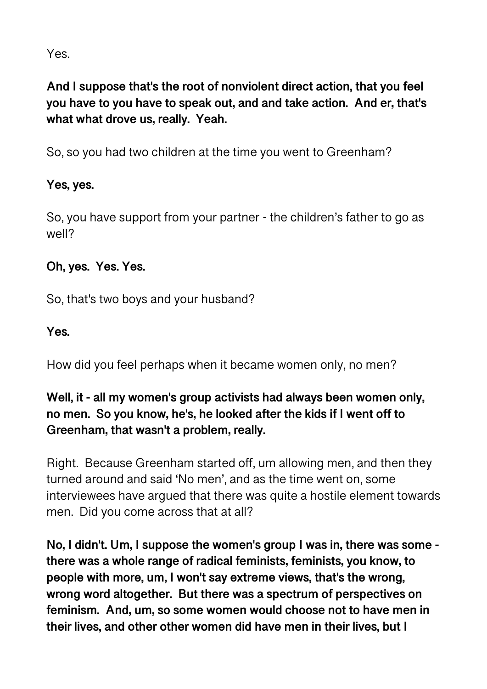Yes.

**And I suppose that's the root of nonviolent direct action, that you feel you have to you have to speak out, and and take action. And er, that's what what drove us, really. Yeah.** 

So, so you had two children at the time you went to Greenham?

## **Yes, yes.**

So, you have support from your partner - the children's father to go as well?

#### **Oh, yes. Yes. Yes.**

So, that's two boys and your husband?

#### **Yes.**

How did you feel perhaps when it became women only, no men?

## **Well, it - all my women's group activists had always been women only, no men. So you know, he's, he looked after the kids if I went off to Greenham, that wasn't a problem, really.**

Right. Because Greenham started off, um allowing men, and then they turned around and said 'No men', and as the time went on, some interviewees have argued that there was quite a hostile element towards men. Did you come across that at all?

**No, I didn't. Um, I suppose the women's group I was in, there was some there was a whole range of radical feminists, feminists, you know, to people with more, um, I won't say extreme views, that's the wrong, wrong word altogether. But there was a spectrum of perspectives on feminism. And, um, so some women would choose not to have men in their lives, and other other women did have men in their lives, but I**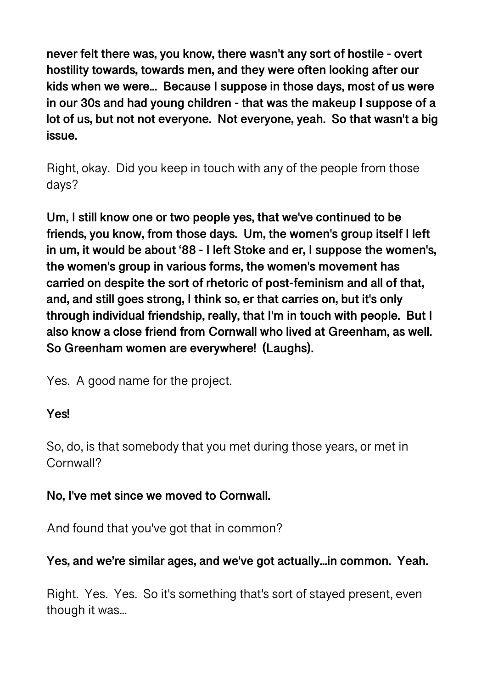**never felt there was, you know, there wasn't any sort of hostile - overt hostility towards, towards men, and they were often looking after our kids when we were... Because I suppose in those days, most of us were in our 30s and had young children - that was the makeup I suppose of a lot of us, but not not everyone. Not everyone, yeah. So that wasn't a big issue.** 

Right, okay. Did you keep in touch with any of the people from those days?

**Um, I still know one or two people yes, that we've continued to be friends, you know, from those days. Um, the women's group itself I left in um, it would be about '88 - I left Stoke and er, I suppose the women's, the women's group in various forms, the women's movement has carried on despite the sort of rhetoric of post-feminism and all of that, and, and still goes strong, I think so, er that carries on, but it's only through individual friendship, really, that I'm in touch with people. But I also know a close friend from Cornwall who lived at Greenham, as well. So Greenham women are everywhere! (Laughs).** 

Yes. A good name for the project.

## **Yes!**

So, do, is that somebody that you met during those years, or met in Cornwall?

## **No, I've met since we moved to Cornwall.**

And found that you've got that in common?

## **Yes, and we're similar ages, and we've got actually...in common. Yeah.**

Right. Yes. Yes. So it's something that's sort of stayed present, even though it was...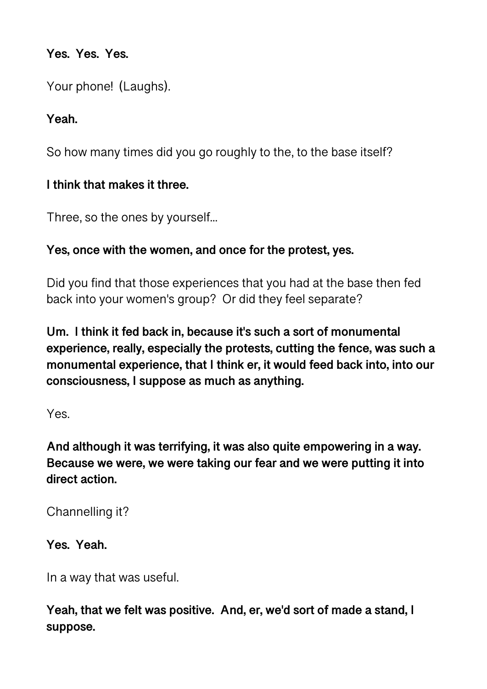#### **Yes. Yes. Yes.**

Your phone! (Laughs).

## **Yeah.**

So how many times did you go roughly to the, to the base itself?

## **I think that makes it three.**

Three, so the ones by yourself...

#### **Yes, once with the women, and once for the protest, yes.**

Did you find that those experiences that you had at the base then fed back into your women's group? Or did they feel separate?

**Um. I think it fed back in, because it's such a sort of monumental experience, really, especially the protests, cutting the fence, was such a monumental experience, that I think er, it would feed back into, into our consciousness, I suppose as much as anything.** 

Yes.

**And although it was terrifying, it was also quite empowering in a way. Because we were, we were taking our fear and we were putting it into direct action.** 

Channelling it?

**Yes. Yeah.** 

In a way that was useful.

**Yeah, that we felt was positive. And, er, we'd sort of made a stand, I suppose.**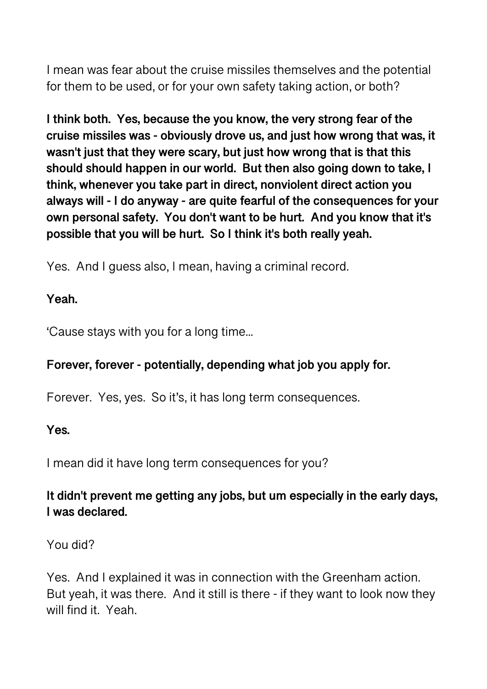I mean was fear about the cruise missiles themselves and the potential for them to be used, or for your own safety taking action, or both?

**I think both. Yes, because the you know, the very strong fear of the cruise missiles was - obviously drove us, and just how wrong that was, it wasn't just that they were scary, but just how wrong that is that this should should happen in our world. But then also going down to take, I think, whenever you take part in direct, nonviolent direct action you always will - I do anyway - are quite fearful of the consequences for your own personal safety. You don't want to be hurt. And you know that it's possible that you will be hurt. So I think it's both really yeah.** 

Yes. And I guess also, I mean, having a criminal record.

#### **Yeah.**

'Cause stays with you for a long time...

## **Forever, forever - potentially, depending what job you apply for.**

Forever. Yes, yes. So it's, it has long term consequences.

#### **Yes.**

I mean did it have long term consequences for you?

## **It didn't prevent me getting any jobs, but um especially in the early days, I was declared.**

## You did?

Yes. And I explained it was in connection with the Greenham action. But yeah, it was there. And it still is there - if they want to look now they will find it. Yeah.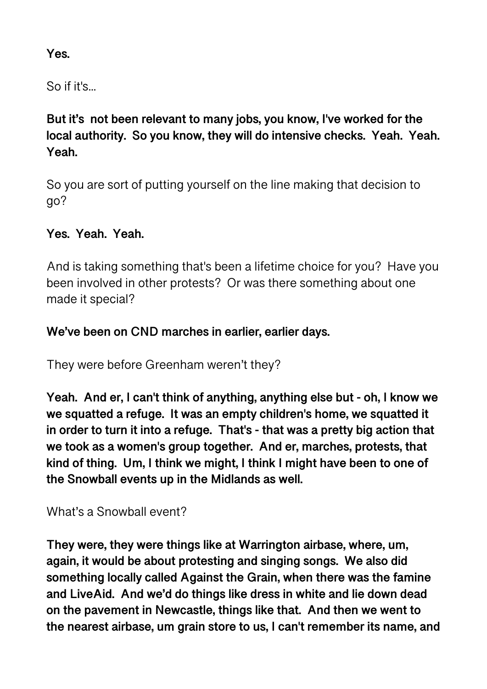## **Yes.**

So if it's...

**But it's not been relevant to many jobs, you know, I've worked for the local authority. So you know, they will do intensive checks. Yeah. Yeah. Yeah.** 

So you are sort of putting yourself on the line making that decision to go?

## **Yes. Yeah. Yeah.**

And is taking something that's been a lifetime choice for you? Have you been involved in other protests? Or was there something about one made it special?

#### **We've been on CND marches in earlier, earlier days.**

They were before Greenham weren't they?

**Yeah. And er, I can't think of anything, anything else but - oh, I know we we squatted a refuge. It was an empty children's home, we squatted it in order to turn it into a refuge. That's - that was a pretty big action that we took as a women's group together. And er, marches, protests, that kind of thing. Um, I think we might, I think I might have been to one of the Snowball events up in the Midlands as well.** 

## What's a Snowball event?

**They were, they were things like at Warrington airbase, where, um, again, it would be about protesting and singing songs. We also did something locally called Against the Grain, when there was the famine and LiveAid. And we'd do things like dress in white and lie down dead on the pavement in Newcastle, things like that. And then we went to the nearest airbase, um grain store to us, I can't remember its name, and**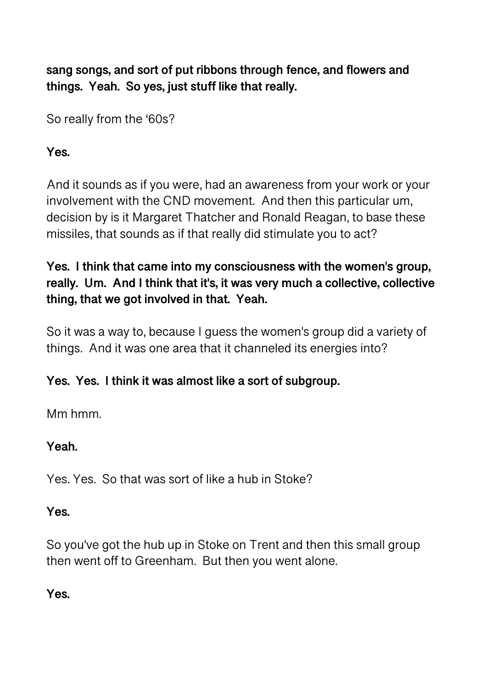**sang songs, and sort of put ribbons through fence, and flowers and things. Yeah. So yes, just stuff like that really.** 

So really from the '60s?

## **Yes.**

And it sounds as if you were, had an awareness from your work or your involvement with the CND movement. And then this particular um, decision by is it Margaret Thatcher and Ronald Reagan, to base these missiles, that sounds as if that really did stimulate you to act?

## **Yes. I think that came into my consciousness with the women's group, really. Um. And I think that it's, it was very much a collective, collective thing, that we got involved in that. Yeah.**

So it was a way to, because I guess the women's group did a variety of things. And it was one area that it channeled its energies into?

## **Yes. Yes. I think it was almost like a sort of subgroup.**

Mm hmm.

## **Yeah.**

Yes. Yes. So that was sort of like a hub in Stoke?

## **Yes.**

So you've got the hub up in Stoke on Trent and then this small group then went off to Greenham. But then you went alone.

## **Yes.**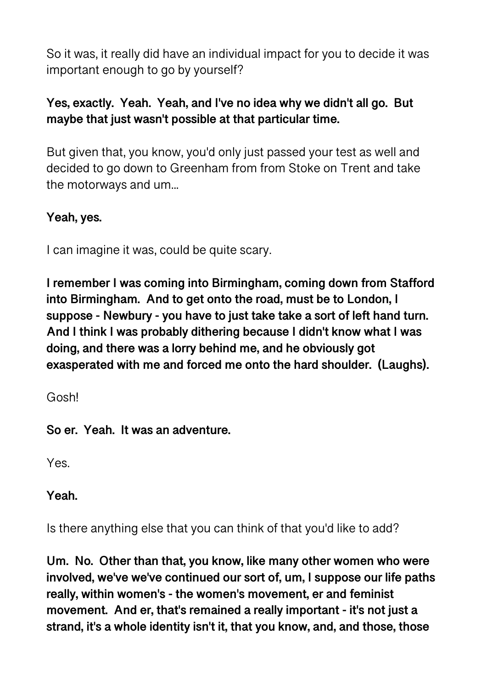So it was, it really did have an individual impact for you to decide it was important enough to go by yourself?

## **Yes, exactly. Yeah. Yeah, and I've no idea why we didn't all go. But maybe that just wasn't possible at that particular time.**

But given that, you know, you'd only just passed your test as well and decided to go down to Greenham from from Stoke on Trent and take the motorways and um...

## **Yeah, yes.**

I can imagine it was, could be quite scary.

**I remember I was coming into Birmingham, coming down from Stafford into Birmingham. And to get onto the road, must be to London, I suppose - Newbury - you have to just take take a sort of left hand turn. And I think I was probably dithering because I didn't know what I was doing, and there was a lorry behind me, and he obviously got exasperated with me and forced me onto the hard shoulder. (Laughs).** 

Gosh!

**So er. Yeah. It was an adventure.** 

Yes.

**Yeah.** 

Is there anything else that you can think of that you'd like to add?

**Um. No. Other than that, you know, like many other women who were involved, we've we've continued our sort of, um, I suppose our life paths really, within women's - the women's movement, er and feminist movement. And er, that's remained a really important - it's not just a strand, it's a whole identity isn't it, that you know, and, and those, those**